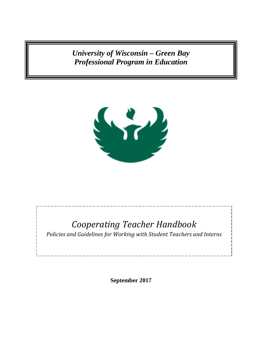*University of Wisconsin – Green Bay Professional Program in Education*



# *Cooperating Teacher Handbook*

*Policies and Guidelines for Working with Student Teachers and Interns*

**September 2017**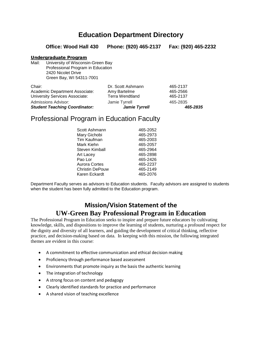## **Education Department Directory**

**Office: Wood Hall 430 Phone: (920) 465-2137 Fax: (920) 465-2232**

### Undergraduate Program

Mail: University of Wisconsin-Green Bay Professional Program in Education 2420 Nicolet Drive Green Bay, WI 54311-7001

| Chair:                                | Dr. Scott Ashmann      | 465-2137 |
|---------------------------------------|------------------------|----------|
| Academic Department Associate:        | Amy Bartelme           | 465-2566 |
| <b>University Services Associate:</b> | <b>Terra Wendtland</b> | 465-2137 |
| Admissions Advisor:                   | Jamie Tyrrell          | 465-2835 |
| <b>Student Teaching Coordinator:</b>  | <b>Jamie Tyrrell</b>   | 465-2835 |

## Professional Program in Education Faculty

| Scott Ashmann          | 465-2052 |
|------------------------|----------|
| Mary Gichobi           | 465-2973 |
| Tim Kaufman            | 465-2003 |
| Mark Kiehn             | 465-2057 |
| Steven Kimball         | 465-2964 |
| Art Lacey              | 465-2898 |
| Pao Lor                | 465-2426 |
| <b>Aurora Cortes</b>   | 465-2237 |
| <b>Christin DePouw</b> | 465-2149 |
| Karen Eckardt          | 465-2076 |

Department Faculty serves as advisors to Education students. Faculty advisors are assigned to students when the student has been fully admitted to the Education program.

## **Mission/Vision Statement of the UW-Green Bay Professional Program in Education**

The Professional Program in Education seeks to inspire and prepare future educators by cultivating knowledge, skills, and dispositions to improve the learning of students, nurturing a profound respect for the dignity and diversity of all learners, and guiding the development of critical thinking, reflective practice, and decision-making based on data. In keeping with this mission, the following integrated themes are evident in this course:

- A commitment to effective communication and ethical decision making
- Proficiency through performance based assessment
- Environments that promote inquiry as the basis the authentic learning
- The integration of technology
- A strong focus on content and pedagogy
- Clearly identified standards for practice and performance
- A shared vision of teaching excellence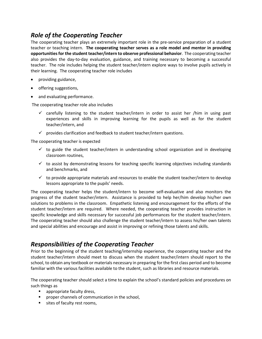## *Role of the Cooperating Teacher*

The cooperating teacher plays an extremely important role in the pre-service preparation of a student teacher or teaching intern. **The cooperating teacher serves as a role model and mentor in providing opportunities for the student teacher/intern to observe professional behavior**. The cooperating teacher also provides the day-to-day evaluation, guidance, and training necessary to becoming a successful teacher. The role includes helping the student teacher/intern explore ways to involve pupils actively in their learning. The cooperating teacher role includes

- providing guidance,
- offering suggestions,
- and evaluating performance.

The cooperating teacher role also includes

- $\checkmark$  carefully listening to the student teacher/intern in order to assist her /him in using past experiences and skills in improving learning for the pupils as well as for the student teacher/intern, and
- $\checkmark$  provides clarification and feedback to student teacher/intern questions.

The cooperating teacher is expected

- $\checkmark$  to guide the student teacher/intern in understanding school organization and in developing classroom routines,
- $\checkmark$  to assist by demonstrating lessons for teaching specific learning objectives including standards and benchmarks, and
- $\checkmark$  to provide appropriate materials and resources to enable the student teacher/intern to develop lessons appropriate to the pupils' needs.

The cooperating teacher helps the student/intern to become self-evaluative and also monitors the progress of the student teacher/intern. Assistance is provided to help her/him develop his/her own solutions to problems in the classroom. Empathetic listening and encouragement for the efforts of the student teacher/intern are required. Where needed, the cooperating teacher provides instruction in specific knowledge and skills necessary for successful job performances for the student teacher/intern. The cooperating teacher should also challenge the student teacher/intern to assess his/her own talents and special abilities and encourage and assist in improving or refining those talents and skills.

## *Responsibilities of the Cooperating Teacher*

Prior to the beginning of the student teaching/internship experience, the cooperating teacher and the student teacher/intern should meet to discuss when the student teacher/intern should report to the school, to obtain any textbook or materials necessary in preparing for the first class period and to become familiar with the various facilities available to the student, such as libraries and resource materials.

The cooperating teacher should select a time to explain the school's standard policies and procedures on such things as

- appropriate faculty dress,
- **P** proper channels of communication in the school,
- sites of faculty rest rooms,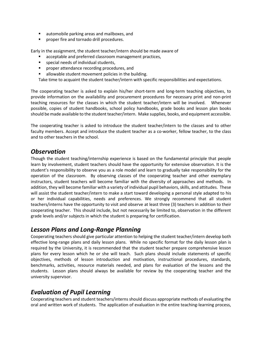- automobile parking areas and mailboxes, and
- **Part of proper fire and tornado drill procedures.**

Early in the assignment, the student teacher/intern should be made aware of

- acceptable and preferred classroom management practices,
- **special needs of individual students,**
- proper attendance recording procedures, and
- allowable student movement policies in the building.

Take time to acquaint the student teacher/intern with specific responsibilities and expectations.

The cooperating teacher is asked to explain his/her short-term and long-term teaching objectives, to provide information on the availability and procurement procedures for necessary print and non-print teaching resources for the classes in which the student teacher/intern will be involved. Whenever possible, copies of student handbooks, school policy handbooks, grade books and lesson plan books should be made available to the student teacher/intern. Make supplies, books, and equipment accessible.

The cooperating teacher is asked to introduce the student teacher/intern to the classes and to other faculty members. Accept and introduce the student teacher as a co-worker, fellow teacher, to the class and to other teachers in the school.

### *Observation*

Though the student teaching/internship experience is based on the fundamental principle that people learn by involvement, student teachers should have the opportunity for extensive observation. It is the student's responsibility to observe you as a role model and learn to gradually take responsibility for the operation of the classroom. By observing classes of the cooperating teacher and other exemplary instructors, student teachers will become familiar with the diversity of approaches and methods. In addition, they will become familiar with a variety of individual pupil behaviors, skills, and attitudes. These will assist the student teacher/intern to make a start toward developing a personal style adapted to his or her individual capabilities, needs and preferences. We strongly recommend that all student teachers/interns have the opportunity to visit and observe at least three (3) teachers in addition to their cooperating teacher. This should include, but not necessarily be limited to, observation in the different grade levels and/or subjects in which the student is preparing for certification.

### *Lesson Plans and Long-Range Planning*

Cooperating teachers should give particular attention to helping the student teacher/intern develop both effective long-range plans and daily lesson plans. While no specific format for the daily lesson plan is required by the University, it is recommended that the student teacher prepare comprehensive lesson plans for every lesson which he or she will teach. Such plans should include statements of specific objectives, methods of lesson introduction and motivation, instructional procedures, standards, benchmarks, activities, resource materials needed, and plans for evaluation of the lessons and the students. Lesson plans should always be available for review by the cooperating teacher and the university supervisor.

## *Evaluation of Pupil Learning*

Cooperating teachers and student teachers/interns should discuss appropriate methods of evaluating the oral and written work of students. The application of evaluation in the entire teaching-learning process,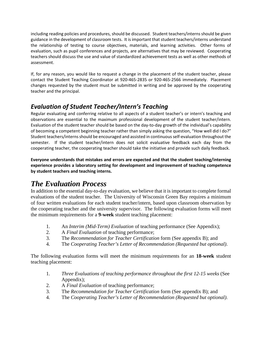including reading policies and procedures, should be discussed. Student teachers/interns should be given guidance in the development of classroom tests. It is important that student teachers/interns understand the relationship of testing to course objectives, materials, and learning activities. Other forms of evaluation, such as pupil conferences and projects, are alternatives that may be reviewed. Cooperating teachers should discuss the use and value of standardized achievement tests as well as other methods of assessment.

If, for any reason, you would like to request a change in the placement of the student teacher, please contact the Student Teaching Coordinator at 920-465-2835 or 920-465-2566 immediately. Placement changes requested by the student must be submitted in writing and be approved by the cooperating teacher and the principal.

## *Evaluation of Student Teacher/Intern's Teaching*

Regular evaluating and conferring relative to all aspects of a student teacher's or intern's teaching and observations are essential to the maximum professional development of the student teacher/intern. Evaluation of the student teacher should be based on the day-to-day growth of the individual's capability of becoming a competent beginning teacher rather than simply asking the question, "How well did I do?" Student teachers/interns should be encouraged and assisted in continuous self-evaluation throughout the semester. If the student teacher/intern does not solicit evaluative feedback each day from the cooperating teacher, the cooperating teacher should take the initiative and provide such daily feedback.

**Everyone understands that mistakes and errors are expected and that the student teaching/interning experience provides a laboratory setting for development and improvement of teaching competence by student teachers and teaching interns.**

## *The Evaluation Process*

In addition to the essential day-to-day evaluation, we believe that it is important to complete formal evaluations of the student teacher. The University of Wisconsin Green Bay requires a minimum of four written evaluations for each student teacher/intern, based upon classroom observation by the cooperating teacher and the university supervisor. The following evaluation forms will meet the minimum requirements for a **9-week** student teaching placement:

- 1. An *Interim (Mid-Term) Evaluation* of teaching performance (See Appendix);
- 2. A *Final Evaluation* of teaching performance;
- 3. The *Recommendation for Teacher Certification* form (See appendix B); and
- 4. The *Cooperating Teacher's Letter of Recommendation (Requested but optional)*.

The following evaluation forms will meet the minimum requirements for an **18-week** student teaching placement:

- 1. *Three Evaluations of teaching performance throughout the first 12-15 weeks* (See Appendix);
- 2. A *Final Evaluation* of teaching performance;
- 3. The *Recommendation for Teacher Certification* form (See appendix B); and
- 4. The *Cooperating Teacher's Letter of Recommendation (Requested but optional)*.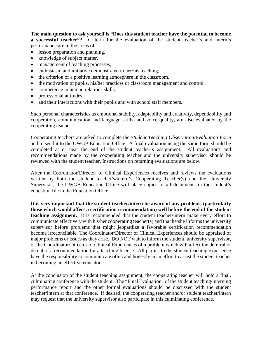**The main question to ask yourself is "Does this student teacher have the potential to become a successful teacher"?** Criteria for the evaluation of the student teacher's and intern's performance are in the areas of

- lesson preparation and planning,
- knowledge of subject matter,
- management of teaching processes,
- enthusiasm and initiative demonstrated in her/his teaching,
- the criterion of a positive learning atmosphere in the classroom,
- the motivation of pupils, his/her practices or classroom management and control,
- competence in human relations skills,
- professional attitudes,
- and their interactions with their pupils and with school staff members.

Such personal characteristics as emotional stability, adaptability and creativity, dependability and cooperation, communication and language skills, and voice quality, are also evaluated by the cooperating teacher.

Cooperating teachers are asked to complete the *Student Teaching Observation*/E*valuation Form*  and to send it to the UWGB Education Office. A final evaluation using the same form should be completed at or near the end of the student teacher's assignment. All evaluations and recommendations made by the cooperating teacher and the university supervisor should be reviewed with the student teacher. Instructions on returning evaluations are below.

After the Coordinator/Director of Clinical Experiences receives and reviews the evaluations written by both the student teacher's/intern's Cooperating Teacher(s) and the University Supervisor, the UWGB Education Office will place copies of all documents in the student's education file in the Education Office.

**It is very important that the student teacher/intern be aware of any problems (particularly those which would affect a certification recommendation) well before the end of the student teaching assignment.** It is recommended that the student teacher/intern make every effort to communicate effectively with his/her cooperating teacher(s) and that he/she informs the university supervisor before problems that might jeopardize a favorable certification recommendation become irreconcilable. The Coordinator/Director of Clinical Experiences should be appraised of major problems or issues as they arise. DO NOT wait to inform the student, university supervisor, or the Coordinator/Director of Clinical Experiences of a problem which will affect the deferral or denial of a recommendation for a teaching license. All parties to the student teaching experience have the responsibility to communicate often and honestly in an effort to assist the student teacher in becoming an effective educator.

At the conclusion of the student teaching assignment, the cooperating teacher will hold a final, culminating conference with the student. The "Final Evaluation" of the student teaching/interning performance report and the other formal evaluations should be discussed with the student teacher/intern at that conference. If desired, the cooperating teacher and/or student teacher/intern may request that the university supervisor also participate in this culminating conference.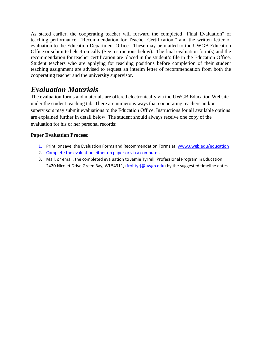As stated earlier, the cooperating teacher will forward the completed "Final Evaluation" of teaching performance, "Recommendation for Teacher Certification," and the written letter of evaluation to the Education Department Office. These may be mailed to the UWGB Education Office or submitted electronically (See instructions below). The final evaluation form(s) and the recommendation for teacher certification are placed in the student's file in the Education Office. Student teachers who are applying for teaching positions before completion of their student teaching assignment are advised to request an interim letter of recommendation from both the cooperating teacher and the university supervisor.

## *Evaluation Materials*

The evaluation forms and materials are offered electronically via the UWGB Education Website under the student teaching tab. There are numerous ways that cooperating teachers and/or supervisors may submit evaluations to the Education Office. Instructions for all available options are explained further in detail below. The student should always receive one copy of the evaluation for his or her personal records:

### **Paper Evaluation Process:**

- 1. Print, or save, the Evaluation Forms and Recommendation Forms at: [www.uwgb.edu/education](http://www.uwgb.edu/education)
- 2. Complete the evaluation either on paper or via a computer.
- 3. Mail, or email, the completed evaluation to Jamie Tyrrell, Professional Program in Education 2420 Nicolet Drive Green Bay, WI 54311, [\(frohtyrj@uwgb.edu\)](mailto:frohtyrj@uwgb.edu) by the suggested timeline dates.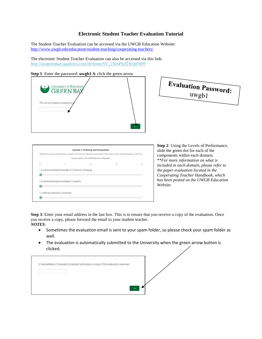### **Electronic Student Teacher Evaluation Tutorial**

The Student Teacher Evaluation can be accessed via the UWGB Education Website: <http://www.uwgb.edu/education/student-teaching/cooperating-teachers/>

The electronic Student Teacher Evaluation can also be accessed via this link: [http://uwgreenbay.qualtrics.com/jfe/form/SV\\_1NrnPEdTKQrF8PP](http://uwgreenbay.qualtrics.com/jfe/form/SV_1NrnPEdTKQrF8PP)

**Step 1**: Enter the password: **uwgb1** & click the green arrow



|   |                                         | (Please use component indicators to assist with scoring. Indicators are located on the paper version of the evaluation which can |   |   |
|---|-----------------------------------------|----------------------------------------------------------------------------------------------------------------------------------|---|---|
|   |                                         | be accessed on the UWGB Education Webpage)                                                                                       |   |   |
| 0 |                                         |                                                                                                                                  | 3 | 4 |
|   |                                         |                                                                                                                                  |   |   |
|   | 1.b Demonstrating Knowledge of Students |                                                                                                                                  |   |   |
|   | 1.c Setting Instruction Outcomes        |                                                                                                                                  |   |   |

**Step 2**: Using the Levels of Performance, slide the green dot for each of the components within each domain. *\*\*For more information on what is included in each domain, please refer to the paper evaluation located in the Cooperating Teacher Handbook, which has been posted on the UWGB Education Website.*

**Step 3**: Enter your email address in the last box. This is to ensure that you receive a copy of the evaluation. Once you receive a copy, please forward the email to your student teacher. *NOTES*:

- Sometimes the evaluation email is sent to your spam folder, so please check your spam folder as well.
- The evaluation is automatically submitted to the University when the green arrow button is clicked.

| Email address of Evaluator (Evaluator will receive a copy of this evaluation via email): |  |  |  |
|------------------------------------------------------------------------------------------|--|--|--|
|                                                                                          |  |  |  |
|                                                                                          |  |  |  |
|                                                                                          |  |  |  |
|                                                                                          |  |  |  |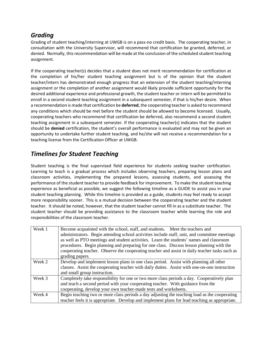## *Grading*

Grading of student teaching/interning at UWGB is on a pass-no credit basis. The cooperating teacher, in consultation with the University Supervisor, will recommend that certification be granted, deferred, or denied. Normally, this recommendation will be made at the conclusion of the scheduled student teaching assignment.

If the cooperating teacher(s) decides that a student does not merit recommendation for certification at the completion of his/her student teaching assignment but is of the opinion that the student teacher/intern has demonstrated enough progress that an extension of the student teaching/interning assignment or the completion of another assignment would likely provide sufficient opportunity for the desired additional experience and professional growth, the student teacher or intern will be permitted to enroll in a second student teaching assignment in a subsequent semester, if that is his/her desire. When a recommendation is made that certification be **deferred**, the cooperating teacher is asked to recommend any conditions which should be met before the student should be allowed to become licensed. Usually, cooperating teachers who recommend that certification be deferred, also recommend a second student teaching assignment in a subsequent semester. If the cooperating teacher(s) indicates that the student should be **denied** certification, the student's overall performance is evaluated and may not be given an opportunity to undertake further student teaching, and he/she will not receive a recommendation for a teaching license from the Certification Officer at UWGB.

## *Timelines for Student Teaching*

Student teaching is the final supervised field experience for students seeking teacher certification. Learning to teach is a gradual process which includes observing teachers, preparing lesson plans and classroom activities, implementing the prepared lessons, assessing students, and assessing the performance of the student teacher to provide feedback for improvement. To make the student teaching experience as beneficial as possible, we suggest the following timeline as a GUIDE to assist you in your student teaching planning. While this timeline is provided as a guide, students may feel ready to accept more responsibility sooner. This is a mutual decision between the cooperating teacher and the student teacher. It should be noted, however, that the student teacher cannot fill in as a substitute teacher. The student teacher should be providing assistance to the classroom teacher while learning the role and responsibilities of the classroom teacher.

| Week 1 | Become acquainted with the school, staff, and students. Meet the teachers and                  |  |  |  |  |
|--------|------------------------------------------------------------------------------------------------|--|--|--|--|
|        | administrators. Begin attending school activities include staff, unit, and committee meetings  |  |  |  |  |
|        | as well as PTO meetings and student activities. Learn the students' names and classroom        |  |  |  |  |
|        | procedures. Begin planning and preparing for one class. Discuss lesson planning with the       |  |  |  |  |
|        | cooperating teacher. Observe the cooperating teacher and assist in daily teacher tasks such as |  |  |  |  |
|        | grading papers.                                                                                |  |  |  |  |
| Week 2 | Develop and implement lesson plans in one class period. Assist with planning all other         |  |  |  |  |
|        | classes. Assist the cooperating teacher with daily duties. Assist with one-on-one instruction  |  |  |  |  |
|        | and small group instruction.                                                                   |  |  |  |  |
| Week 3 | Completely take responsibility for one or two more class periods a day. Cooperatively plan     |  |  |  |  |
|        | and teach a second period with your cooperating teacher. With guidance from the                |  |  |  |  |
|        | cooperating, develop your own teacher-made tests and worksheets.                               |  |  |  |  |
| Week 4 | Begin teaching two or more class periods a day adjusting the teaching load as the cooperating  |  |  |  |  |
|        | teacher feels it is appropriate. Develop and implement plans for lead teaching as appropriate. |  |  |  |  |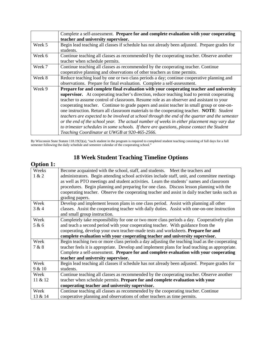|                                                                                            | Complete a self-assessment. Prepare for and complete evaluation with your cooperating          |  |  |  |
|--------------------------------------------------------------------------------------------|------------------------------------------------------------------------------------------------|--|--|--|
|                                                                                            | teacher and university supervisor.                                                             |  |  |  |
| Week 5                                                                                     | Begin lead teaching all classes if schedule has not already been adjusted. Prepare grades for  |  |  |  |
|                                                                                            | students.                                                                                      |  |  |  |
| Week 6                                                                                     | Continue teaching all classes as recommended by the cooperating teacher. Observe another       |  |  |  |
|                                                                                            | teacher when schedule permits.                                                                 |  |  |  |
| Week 7                                                                                     | Continue teaching all classes as recommended by the cooperating teacher. Continue              |  |  |  |
|                                                                                            | cooperative planning and observations of other teachers as time permits.                       |  |  |  |
| Week 8                                                                                     | Reduce teaching load by one or two class periods a day; continue cooperative planning and      |  |  |  |
|                                                                                            | observations. Prepare for final evaluation. Complete a self-assessment.                        |  |  |  |
| Week 9                                                                                     | Prepare for and complete final evaluation with your cooperating teacher and university         |  |  |  |
|                                                                                            | supervisor. At cooperating teacher's direction, reduce teaching load to permit cooperating     |  |  |  |
|                                                                                            | teacher to assume control of classroom. Resume role as an observer and assistant to your       |  |  |  |
| cooperating teacher. Continue to grade papers and assist teacher in small group or one-on- |                                                                                                |  |  |  |
|                                                                                            | one instruction. Return all classroom materials to the cooperating teacher. NOTE: Student      |  |  |  |
|                                                                                            | teachers are expected to be involved at school through the end of the quarter and the semester |  |  |  |
|                                                                                            | or the end of the school year. The actual number of weeks in either placement may vary due     |  |  |  |
|                                                                                            | to trimester schedules in some schools. If there are questions, please contact the Student     |  |  |  |
|                                                                                            | Teaching Coordinator at UWGB at 920-465-2566.                                                  |  |  |  |

By Wisconsin State Statute 118.19(3)(a), "each student in the program is required to completed student teaching consisting of full days for a full semester following the daily schedule and semester calendar of the cooperating school."

## **18 Week Student Teaching Timeline Options**

| <b>Option 1:</b> |                                                                                                |  |  |  |  |
|------------------|------------------------------------------------------------------------------------------------|--|--|--|--|
| Weeks            | Become acquainted with the school, staff, and students. Meet the teachers and                  |  |  |  |  |
| 1 & 2            | administrators. Begin attending school activities include staff, unit, and committee meetings  |  |  |  |  |
|                  | as well as PTO meetings and student activities. Learn the students' names and classroom        |  |  |  |  |
|                  | procedures. Begin planning and preparing for one class. Discuss lesson planning with the       |  |  |  |  |
|                  | cooperating teacher. Observe the cooperating teacher and assist in daily teacher tasks such as |  |  |  |  |
|                  | grading papers.                                                                                |  |  |  |  |
| Week             | Develop and implement lesson plans in one class period. Assist with planning all other         |  |  |  |  |
| 3 & 4            | classes. Assist the cooperating teacher with daily duties. Assist with one-on-one instruction  |  |  |  |  |
|                  | and small group instruction.                                                                   |  |  |  |  |
| Week             | Completely take responsibility for one or two more class periods a day. Cooperatively plan     |  |  |  |  |
| 5 & 6            | and teach a second period with your cooperating teacher. With guidance from the                |  |  |  |  |
|                  | cooperating, develop your own teacher-made tests and worksheets. Prepare for and               |  |  |  |  |
|                  | complete evaluation with your cooperating teacher and university supervisor.                   |  |  |  |  |
| Week             | Begin teaching two or more class periods a day adjusting the teaching load as the cooperating  |  |  |  |  |
| 7 & 8            | teacher feels it is appropriate. Develop and implement plans for lead teaching as appropriate. |  |  |  |  |
|                  | Complete a self-assessment. Prepare for and complete evaluation with your cooperating          |  |  |  |  |
|                  | teacher and university supervisor.                                                             |  |  |  |  |
| Week             | Begin lead teaching all classes if schedule has not already been adjusted. Prepare grades for  |  |  |  |  |
| 9 & 10           | students.                                                                                      |  |  |  |  |
| Week             | Continue teaching all classes as recommended by the cooperating teacher. Observe another       |  |  |  |  |
| 11 & 12          | teacher when schedule permits. Prepare for and complete evaluation with your                   |  |  |  |  |
|                  | cooperating teacher and university supervisor.                                                 |  |  |  |  |
| Week             | Continue teaching all classes as recommended by the cooperating teacher. Continue              |  |  |  |  |
| 13 & 14          | cooperative planning and observations of other teachers as time permits.                       |  |  |  |  |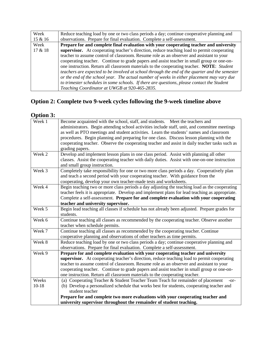| Week    | Reduce teaching load by one or two class periods a day; continue cooperative planning and      |
|---------|------------------------------------------------------------------------------------------------|
| 15 & 16 | observations. Prepare for final evaluation. Complete a self-assessment.                        |
| Week    | Prepare for and complete final evaluation with your cooperating teacher and university         |
| 17 & 18 | supervisor. At cooperating teacher's direction, reduce teaching load to permit cooperating     |
|         | teacher to assume control of classroom. Resume role as an observer and assistant to your       |
|         | cooperating teacher. Continue to grade papers and assist teacher in small group or one-on-     |
|         | one instruction. Return all classroom materials to the cooperating teacher. NOTE: Student      |
|         | teachers are expected to be involved at school through the end of the quarter and the semester |
|         | or the end of the school year. The actual number of weeks in either placement may vary due     |
|         | to trimester schedules in some schools. If there are questions, please contact the Student     |
|         | Teaching Coordinator at UWGB at 920-465-2835.                                                  |

## **Option 2: Complete two 9-week cycles following the 9-week timeline above**

## **Option 3:**

| Week 1  | Become acquainted with the school, staff, and students. Meet the teachers and<br>administrators. Begin attending school activities include staff, unit, and committee meetings<br>as well as PTO meetings and student activities. Learn the students' names and classroom |  |  |  |  |
|---------|---------------------------------------------------------------------------------------------------------------------------------------------------------------------------------------------------------------------------------------------------------------------------|--|--|--|--|
|         | procedures. Begin planning and preparing for one class. Discuss lesson planning with the<br>cooperating teacher. Observe the cooperating teacher and assist in daily teacher tasks such as<br>grading papers.                                                             |  |  |  |  |
| Week 2  | Develop and implement lesson plans in one class period. Assist with planning all other                                                                                                                                                                                    |  |  |  |  |
|         | classes. Assist the cooperating teacher with daily duties. Assist with one-on-one instruction<br>and small group instruction.                                                                                                                                             |  |  |  |  |
| Week 3  | Completely take responsibility for one or two more class periods a day. Cooperatively plan                                                                                                                                                                                |  |  |  |  |
|         | and teach a second period with your cooperating teacher. With guidance from the<br>cooperating, develop your own teacher-made tests and worksheets.                                                                                                                       |  |  |  |  |
| Week 4  | Begin teaching two or more class periods a day adjusting the teaching load as the cooperating                                                                                                                                                                             |  |  |  |  |
|         | teacher feels it is appropriate. Develop and implement plans for lead teaching as appropriate.                                                                                                                                                                            |  |  |  |  |
|         | Complete a self-assessment. Prepare for and complete evaluation with your cooperating                                                                                                                                                                                     |  |  |  |  |
|         | teacher and university supervisor.                                                                                                                                                                                                                                        |  |  |  |  |
| Week 5  | Begin lead teaching all classes if schedule has not already been adjusted. Prepare grades for                                                                                                                                                                             |  |  |  |  |
|         | students.                                                                                                                                                                                                                                                                 |  |  |  |  |
| Week 6  | Continue teaching all classes as recommended by the cooperating teacher. Observe another<br>teacher when schedule permits.                                                                                                                                                |  |  |  |  |
| Week 7  | Continue teaching all classes as recommended by the cooperating teacher. Continue<br>cooperative planning and observations of other teachers as time permits.                                                                                                             |  |  |  |  |
| Week 8  | Reduce teaching load by one or two class periods a day; continue cooperative planning and<br>observations. Prepare for final evaluation. Complete a self-assessment.                                                                                                      |  |  |  |  |
| Week 9  | Prepare for and complete evaluation with your cooperating teacher and university                                                                                                                                                                                          |  |  |  |  |
|         | supervisor. At cooperating teacher's direction, reduce teaching load to permit cooperating                                                                                                                                                                                |  |  |  |  |
|         | teacher to assume control of classroom. Resume role as an observer and assistant to your                                                                                                                                                                                  |  |  |  |  |
|         | cooperating teacher. Continue to grade papers and assist teacher in small group or one-on-                                                                                                                                                                                |  |  |  |  |
|         | one instruction. Return all classroom materials to the cooperating teacher.                                                                                                                                                                                               |  |  |  |  |
| Weeks   | (a) Cooperating Teacher & Student Teacher Team Teach for remainder of placement<br>-or-                                                                                                                                                                                   |  |  |  |  |
| $10-18$ | (b) Develop a personalized schedule that works best for students, cooperating teacher and<br>student teacher                                                                                                                                                              |  |  |  |  |
|         | Prepare for and complete two more evaluations with your cooperating teacher and                                                                                                                                                                                           |  |  |  |  |
|         | university supervisor throughout the remainder of student teaching.                                                                                                                                                                                                       |  |  |  |  |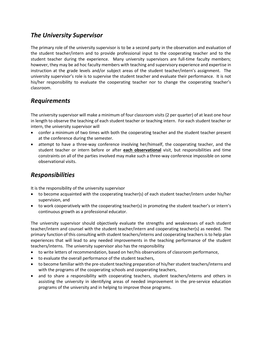### *The University Supervisor*

The primary role of the university supervisor is to be a second party in the observation and evaluation of the student teacher/intern and to provide professional input to the cooperating teacher and to the student teacher during the experience. Many university supervisors are full-time faculty members; however, they may be ad hoc faculty members with teaching and supervisory experience and expertise in instruction at the grade levels and/or subject areas of the student teacher/intern's assignment. The university supervisor's role is to supervise the student teacher and evaluate their performance. It is not his/her responsibility to evaluate the cooperating teacher nor to change the cooperating teacher's classroom.

## *Requirements*

The university supervisor will make a minimum of four classroom visits (2 per quarter) of at least one hour in length to observe the teaching of each student teacher or teaching intern. For each student teacher or intern, the university supervisor will

- confer a minimum of two times with both the cooperating teacher and the student teacher present at the conference during the semester.
- attempt to have a three-way conference involving her/himself, the cooperating teacher, and the student teacher or intern before or after **each observational** visit, but responsibilities and time constraints on all of the parties involved may make such a three-way conference impossible on some observational visits.

## *Responsibilities*

It is the responsibility of the university supervisor

- to become acquainted with the cooperating teacher(s) of each student teacher/intern under his/her supervision, and
- to work cooperatively with the cooperating teacher(s) in promoting the student teacher's or intern's continuous growth as a professional educator.

The university supervisor should objectively evaluate the strengths and weaknesses of each student teacher/intern and counsel with the student teacher/intern and cooperating teacher(s) as needed. The primary function of this consulting with student teachers/interns and cooperating teachers is to help plan experiences that will lead to any needed improvements in the teaching performance of the student teachers/interns. The university supervisor also has the responsibility

- to write letters of recommendation, based on her/his observations of classroom performance,
- to evaluate the overall performance of the student teachers,
- to become familiar with the pre-student teaching preparation of his/her student teachers/interns and with the programs of the cooperating schools and cooperating teachers,
- and to share a responsibility with cooperating teachers, student teachers/interns and others in assisting the university in identifying areas of needed improvement in the pre-service education programs of the university and in helping to improve those programs.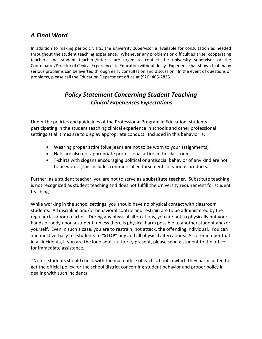## *A Final Word*

In addition to making periodic visits, the university supervisor is available for consultation as needed throughout the student teaching experience. Whenever any problems or difficulties arise, cooperating teachers and student teachers/interns are urged to contact the university supervisor or the Coordinator/Director of Clinical Experiences in Education without delay. Experience has shown that many serious problems can be averted through early consultation and discussion. In the event of questions or problems, please call the Education Department office at (920) 465-2835.

## *Policy Statement Concerning Student Teaching Clinical Experiences Expectations*

Under the policies and guidelines of the Professional Program in Education, students participating in the student teaching clinical experience in schools and other professional settings at all times are to display appropriate conduct. Included in this behavior is:

- Wearing proper attire (blue jeans are not to be worn to your assignments)
- Hats are also not appropriate professional attire in the classroom.
- T-shirts with slogans encouraging political or antisocial behavior of any kind are not to be worn. (This includes commercial endorsements of various products.)

Further, as a student teacher, you are not to serve as a **substitute teacher.** Substitute teaching is not recognized as student teaching and does not fulfill the University requirement for student teaching.

While working in the school settings, you should have no physical contact with classroom students. All discipline and/or behavioral control and restrain are to be administered by the regular classroom teacher. During any physical altercations, you are not to physically put your hands or body upon a student, unless there is physical harm possible to another student and/or yourself. Even in such a case, you are to restrain, not attack, the offending individual. You can and must verbally tell students to **"STOP"** any and all physical altercations. Also remember that in all incidents, if you are the lone adult authority present, please send a student to the office for immediate assistance.

\*Note: Students should check with the main office of each school in which they participated to get the official policy for the school district concerning student behavior and proper policy in dealing with such incidents.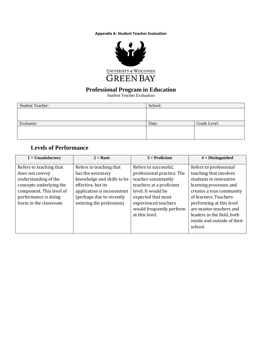**Appendix A: Student Teacher Evaluation**



### **Professional Program in Education**

Student Teacher Evaluation

| <b>Student Teacher:</b> | School: |              |
|-------------------------|---------|--------------|
|                         |         |              |
|                         |         |              |
| Evaluator:              | Date:   | Grade Level: |
|                         |         |              |
|                         |         |              |

## **Levels of Performance**

| $1 =$ Unsatisfactory                                                                                                                                                       | $2 = Basic$                                                                                                                                                                             | $3 =$ Proficient                                                                                                                                                                                                          | $4 = Distinguished$                                                                                                                                                                                                                                                                      |
|----------------------------------------------------------------------------------------------------------------------------------------------------------------------------|-----------------------------------------------------------------------------------------------------------------------------------------------------------------------------------------|---------------------------------------------------------------------------------------------------------------------------------------------------------------------------------------------------------------------------|------------------------------------------------------------------------------------------------------------------------------------------------------------------------------------------------------------------------------------------------------------------------------------------|
| Refers to teaching that<br>does not convey<br>understanding of the<br>concepts underlying the<br>component. This level of<br>performance is doing<br>harm in the classroom | Refers to teaching that<br>has the necessary<br>knowledge and skills to be<br>effective, but its<br>application is inconsistent<br>(perhaps due to recently<br>entering the profession) | Refers to successful,<br>professional practice. The<br>teacher consistently<br>teachers at a proficient<br>level. It would be<br>expected that most<br>experienced teachers<br>would frequently perform<br>at this level. | Refers to professional<br>teaching that involves<br>students in innovative<br>learning processes and<br>creates a true community<br>of learners. Teachers<br>performing at this level<br>are master teachers and<br>leaders in the field, both<br>inside and outside of their<br>school. |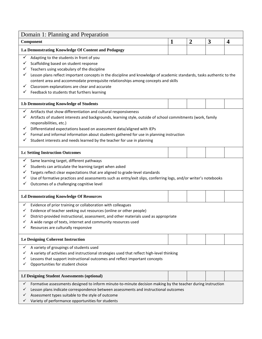| Domain 1: Planning and Preparation                                                                                                                                                                                                                                                                                                                                                                                                                                                |              |                |   |                         |
|-----------------------------------------------------------------------------------------------------------------------------------------------------------------------------------------------------------------------------------------------------------------------------------------------------------------------------------------------------------------------------------------------------------------------------------------------------------------------------------|--------------|----------------|---|-------------------------|
| Component                                                                                                                                                                                                                                                                                                                                                                                                                                                                         | $\mathbf{1}$ | $\overline{2}$ | 3 | $\overline{\mathbf{4}}$ |
| 1.a Demonstrating Knowledge Of Content and Pedagogy                                                                                                                                                                                                                                                                                                                                                                                                                               |              |                |   |                         |
| ✓<br>Adapting to the students in front of you<br>Scaffolding based on student response<br>✓<br>Teachers using vocabulary of the discipline<br>Lesson plans reflect important concepts in the discipline and knowledge of academic standards, tasks authentic to the<br>content area and accommodate prerequisite relationships among concepts and skills<br>✓<br>Classroom explanations are clear and accurate<br>Feedback to students that furthers learning                     |              |                |   |                         |
| 1.b Demonstrating Knowledge of Students                                                                                                                                                                                                                                                                                                                                                                                                                                           |              |                |   |                         |
| Artifacts that show differentiation and cultural responsiveness<br>✓<br>✓<br>Artifacts of student interests and backgrounds, learning style, outside of school commitments (work, family<br>responsibilities, etc.)<br>Differentiated expectations based on assessment data/aligned with IEPs<br>✓<br>Formal and informal information about students gathered for use in planning instruction<br>✓<br>Student interests and needs learned by the teacher for use in planning<br>✓ |              |                |   |                         |
| <b>1.c Setting Instruction Outcomes</b>                                                                                                                                                                                                                                                                                                                                                                                                                                           |              |                |   |                         |
| $\checkmark$<br>Same learning target, different pathways<br>✓<br>Students can articulate the learning target when asked<br>Targets reflect clear expectations that are aligned to grade-level standards<br>✓<br>Use of formative practices and assessments such as entry/exit slips, conferring logs, and/or writer's notebooks<br>✓<br>Outcomes of a challenging cognitive level                                                                                                 |              |                |   |                         |
| 1.d Demonstrating Knowledge Of Resources                                                                                                                                                                                                                                                                                                                                                                                                                                          |              |                |   |                         |
| Evidence of prior training or collaboration with colleagues<br>✓<br>Evidence of teacher seeking out resources (online or other people)<br>✓<br>District-provided instructional, assessment, and other materials used as appropriate<br>A wide range of texts, internet and community resources used<br>Resources are culturally responsive                                                                                                                                        |              |                |   |                         |
| <b>1.e Designing Coherent Instruction</b>                                                                                                                                                                                                                                                                                                                                                                                                                                         |              |                |   |                         |
| A variety of groupings of students used<br>✓<br>A variety of activities and instructional strategies used that reflect high-level thinking<br>✓<br>Lessons that support instructional outcomes and reflect important concepts<br>✓<br>Opportunities for student choice<br>✓                                                                                                                                                                                                       |              |                |   |                         |
| 1.f Designing Student Assessments (optional)                                                                                                                                                                                                                                                                                                                                                                                                                                      |              |                |   |                         |
| Formative assessments designed to inform minute-to-minute decision making by the teacher during instruction<br>✓<br>✓<br>Lesson plans indicate correspondence between assessments and instructional outcomes<br>Assessment types suitable to the style of outcome<br>✓<br>Variety of performance opportunities for students                                                                                                                                                       |              |                |   |                         |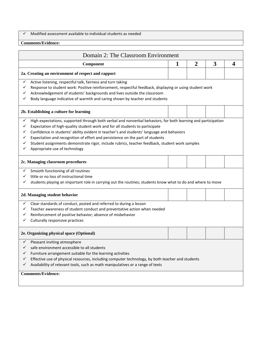$\checkmark$  Modified assessment available to individual students as needed

#### **Comments/Evidence:**

| Domain 2: The Classroom Environment                                                                                                                                                                                                                                                                                                                                                                                                                                                                                                          |   |                |   |                  |
|----------------------------------------------------------------------------------------------------------------------------------------------------------------------------------------------------------------------------------------------------------------------------------------------------------------------------------------------------------------------------------------------------------------------------------------------------------------------------------------------------------------------------------------------|---|----------------|---|------------------|
| Component                                                                                                                                                                                                                                                                                                                                                                                                                                                                                                                                    | 1 | $\overline{2}$ | 3 | $\boldsymbol{4}$ |
| 2a. Creating an environment of respect and rapport                                                                                                                                                                                                                                                                                                                                                                                                                                                                                           |   |                |   |                  |
| Active listening, respectful talk, fairness and turn taking<br>✓<br>Response to student work: Positive reinforcement, respectful feedback, displaying or using student work<br>✓<br>Acknowledgement of students' backgrounds and lives outside the classroom<br>✓<br>Body language indicative of warmth and caring shown by teacher and students<br>✓                                                                                                                                                                                        |   |                |   |                  |
| 2b. Establishing a culture for learning                                                                                                                                                                                                                                                                                                                                                                                                                                                                                                      |   |                |   |                  |
| High expectations, supported through both verbal and nonverbal behaviors, for both learning and participation<br>✓<br>Expectation of high-quality student work and for all students to participate<br>✓<br>Confidence in students' ability evident in teacher's and students' language and behaviors<br>✓<br>Expectation and recognition of effort and persistence on the part of students<br>✓<br>Student assignments demonstrate rigor, include rubrics, teacher feedback, student work samples<br>✓<br>Appropriate use of technology<br>✓ |   |                |   |                  |
| 2c. Managing classroom procedures                                                                                                                                                                                                                                                                                                                                                                                                                                                                                                            |   |                |   |                  |
| Smooth functioning of all routines<br>✓<br>little or no loss of instructional time<br>✓<br>students playing an important role in carrying out the routines; students know what to do and where to move                                                                                                                                                                                                                                                                                                                                       |   |                |   |                  |
| 2d. Managing student behavior                                                                                                                                                                                                                                                                                                                                                                                                                                                                                                                |   |                |   |                  |
| Clear standards of conduct, posted and referred to during a lesson<br>✓<br>Teacher awareness of student conduct and preventative action when needed<br>Reinforcement of positive behavior; absence of misbehavior<br>✓<br>Culturally responsive practices                                                                                                                                                                                                                                                                                    |   |                |   |                  |
| 2e. Organizing physical space (Optional)                                                                                                                                                                                                                                                                                                                                                                                                                                                                                                     |   |                |   |                  |
| $\checkmark$ Pleasant inviting atmosphere<br>safe environment accessible to all students<br>✓<br>Furniture arrangement suitable for the learning activities<br>✓<br>Effective use of physical resources, including computer technology, by both teacher and students<br>✓<br>Availability of relevant tools, such as math manipulatives or a range of texts<br>✓<br><b>Comments/Evidence:</b>                                                                                                                                                |   |                |   |                  |
|                                                                                                                                                                                                                                                                                                                                                                                                                                                                                                                                              |   |                |   |                  |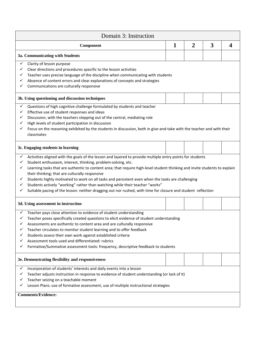| Domain 3: Instruction                                                                                                                                                                                                                                                                                                                                                                                                                                                                                                                                                                                                                                                                    |              |                |   |                  |
|------------------------------------------------------------------------------------------------------------------------------------------------------------------------------------------------------------------------------------------------------------------------------------------------------------------------------------------------------------------------------------------------------------------------------------------------------------------------------------------------------------------------------------------------------------------------------------------------------------------------------------------------------------------------------------------|--------------|----------------|---|------------------|
| Component                                                                                                                                                                                                                                                                                                                                                                                                                                                                                                                                                                                                                                                                                | $\mathbf{1}$ | $\overline{2}$ | 3 | $\boldsymbol{4}$ |
| 3a. Communicating with Students                                                                                                                                                                                                                                                                                                                                                                                                                                                                                                                                                                                                                                                          |              |                |   |                  |
| Clarity of lesson purpose<br>✓<br>Clear directions and procedures specific to the lesson activities<br>✓<br>Teacher uses precise language of the discipline when communicating with students<br>Absence of content errors and clear explanations of concepts and strategies<br>$\checkmark$<br>Communications are culturally responsive                                                                                                                                                                                                                                                                                                                                                  |              |                |   |                  |
| 3b. Using questioning and discussion techniques                                                                                                                                                                                                                                                                                                                                                                                                                                                                                                                                                                                                                                          |              |                |   |                  |
| Questions of high cognitive challenge formulated by students and teacher<br>✓<br>Effective use of student responses and ideas<br>✓<br>Discussion, with the teachers stepping out of the central, mediating role<br>✓<br>High levels of student participation in discussion<br>✓<br>Focus on the reasoning exhibited by the students in discussion, both in give-and-take with the teacher and with their<br>✓<br>classmates                                                                                                                                                                                                                                                              |              |                |   |                  |
| 3c. Engaging students in learning                                                                                                                                                                                                                                                                                                                                                                                                                                                                                                                                                                                                                                                        |              |                |   |                  |
| Activities aligned with the goals of the lesson and layered to provide multiple entry points for students<br>✓<br>Student enthusiasm, interest, thinking, problem-solving, etc.<br>✓<br>Learning tasks that are authentic to content area; that require high-level student thinking and invite students to explain<br>✓<br>their thinking; that are culturally responsive<br>Students highly motivated to work on all tasks and persistent even when the tasks are challenging<br>✓<br>Students actively "working" rather than watching while their teacher "works"<br>✓<br>Suitable pacing of the lesson: neither dragging out nor rushed, with time for closure and student reflection |              |                |   |                  |
| 3d. Using assessment in instruction                                                                                                                                                                                                                                                                                                                                                                                                                                                                                                                                                                                                                                                      |              |                |   |                  |
| Teacher pays close attention to evidence of student understanding<br>Teacher poses specifically created questions to elicit evidence of student understanding<br>Assessments are authentic to content area and are culturally responsive<br>Teacher circulates to monitor student learning and to offer feedback<br>Students assess their own work against established criteria<br>Assessment tools used and differentiated: rubrics<br>Formative/Summative assessment tools: frequency, descriptive feedback to students                                                                                                                                                                |              |                |   |                  |
| 3e. Demonstrating flexibility and responsiveness                                                                                                                                                                                                                                                                                                                                                                                                                                                                                                                                                                                                                                         |              |                |   |                  |
| Incorporation of students' interests and daily events into a lesson<br>✓<br>Teacher adjusts instruction in response to evidence of student understanding (or lack of it)<br>Teacher seizing on a teachable moment<br>Lesson Plans: use of formative assessment, use of multiple instructional strategies                                                                                                                                                                                                                                                                                                                                                                                 |              |                |   |                  |
| <b>Comments/Evidence:</b>                                                                                                                                                                                                                                                                                                                                                                                                                                                                                                                                                                                                                                                                |              |                |   |                  |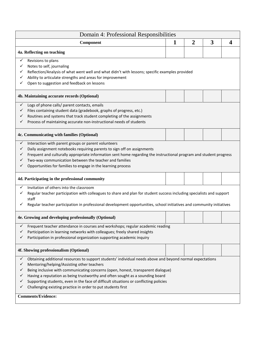| Domain 4: Professional Responsibilities                                                                                                                                                                                                                                                                                                                                                                                                                                                                                      |   |                |   |   |
|------------------------------------------------------------------------------------------------------------------------------------------------------------------------------------------------------------------------------------------------------------------------------------------------------------------------------------------------------------------------------------------------------------------------------------------------------------------------------------------------------------------------------|---|----------------|---|---|
| Component                                                                                                                                                                                                                                                                                                                                                                                                                                                                                                                    | 1 | $\overline{2}$ | 3 | 4 |
| 4a. Reflecting on teaching                                                                                                                                                                                                                                                                                                                                                                                                                                                                                                   |   |                |   |   |
| Revisions to plans<br>✓<br>Notes to self, journaling<br>✓<br>Reflection/Analysis of what went well and what didn't with lessons; specific examples provided<br>Ability to articulate strengths and areas for improvement<br>✓<br>Open to suggestion and feedback on lessons                                                                                                                                                                                                                                                  |   |                |   |   |
| 4b. Maintaining accurate records (Optional)                                                                                                                                                                                                                                                                                                                                                                                                                                                                                  |   |                |   |   |
| Logs of phone calls/ parent contacts, emails<br>$\checkmark$<br>Files containing student data (gradebook, graphs of progress, etc.)<br>✓<br>Routines and systems that track student completing of the assignments<br>✓<br>Process of maintaining accurate non-instructional needs of students                                                                                                                                                                                                                                |   |                |   |   |
| 4c. Communicating with families (Optional)                                                                                                                                                                                                                                                                                                                                                                                                                                                                                   |   |                |   |   |
| Interaction with parent groups or parent volunteers<br>Daily assignment notebooks requiring parents to sign off on assignments<br>✓<br>Frequent and culturally appropriate information sent home regarding the instructional program and student progress<br>✓<br>Two-way communication between the teacher and families<br>Opportunities for families to engage in the learning process                                                                                                                                     |   |                |   |   |
| 4d. Participating in the professional community                                                                                                                                                                                                                                                                                                                                                                                                                                                                              |   |                |   |   |
| Invitation of others into the classroom<br>✓<br>Regular teacher participation with colleagues to share and plan for student success including specialists and support<br>✓<br>staff<br>Regular teacher participation in professional development opportunities, school initiatives and community initiatives                                                                                                                                                                                                                 |   |                |   |   |
| 4e. Growing and developing professionally (Optional)                                                                                                                                                                                                                                                                                                                                                                                                                                                                         |   |                |   |   |
| Frequent teacher attendance in courses and workshops; regular academic reading<br>✓<br>Participation in learning networks with colleagues; freely shared insights<br>✓<br>Participation in professional organization supporting academic inquiry                                                                                                                                                                                                                                                                             |   |                |   |   |
| 4f. Showing professionalism (Optional)                                                                                                                                                                                                                                                                                                                                                                                                                                                                                       |   |                |   |   |
| Obtaining additional resources to support students' individual needs above and beyond normal expectations<br>Mentoring/helping/Assisting other teachers<br>v<br>Being inclusive with communicating concerns (open, honest, transparent dialogue)<br>✓<br>Having a reputation as being trustworthy and often sought as a sounding board<br>Supporting students, even in the face of difficult situations or conflicting policies<br>Challenging existing practice in order to put students first<br><b>Comments/Evidence:</b> |   |                |   |   |
|                                                                                                                                                                                                                                                                                                                                                                                                                                                                                                                              |   |                |   |   |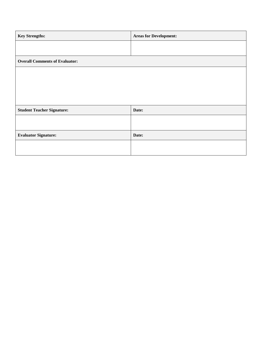| <b>Key Strengths:</b>                 | <b>Areas for Development:</b> |
|---------------------------------------|-------------------------------|
|                                       |                               |
| <b>Overall Comments of Evaluator:</b> |                               |
|                                       |                               |
|                                       |                               |
|                                       |                               |
| <b>Student Teacher Signature:</b>     | Date:                         |
|                                       |                               |
| <b>Evaluator Signature:</b>           | Date:                         |
|                                       |                               |